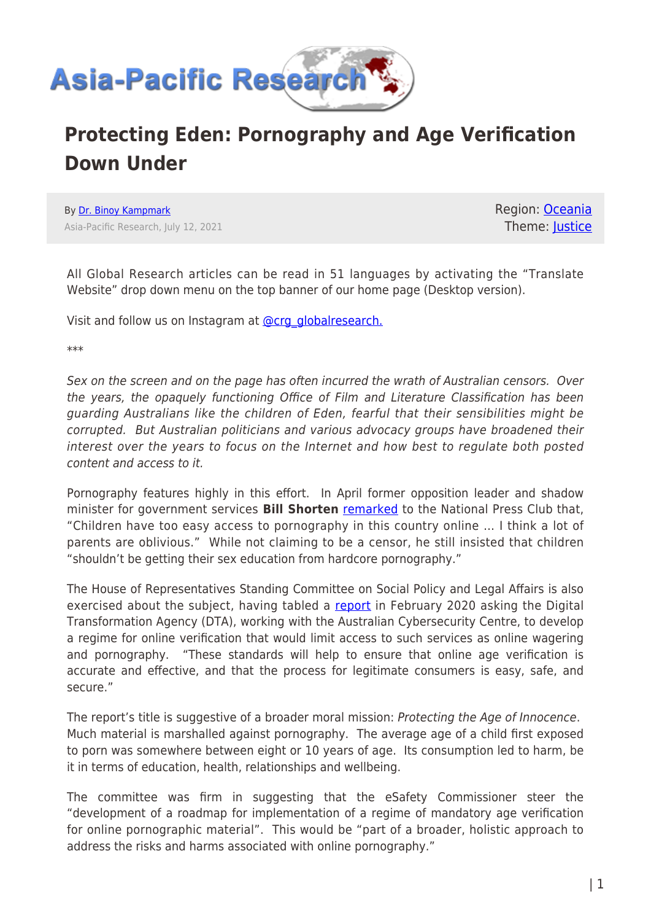

## **Protecting Eden: Pornography and Age Verification Down Under**

By [Dr. Binoy Kampmark](https://www.asia-pacificresearch.com/author/binoy-kampmark) Asia-Pacific Research, July 12, 2021 Region: [Oceania](https://www.asia-pacificresearch.com/region/as-oceania) Theme: [Justice](https://www.asia-pacificresearch.com/theme/justice-2)

All Global Research articles can be read in 51 languages by activating the "Translate Website" drop down menu on the top banner of our home page (Desktop version).

Visit and follow us on Instagram at **@crg\_globalresearch.** 

\*\*\*

Sex on the screen and on the page has often incurred the wrath of Australian censors. Over the years, the opaquely functioning Office of Film and Literature Classification has been guarding Australians like the children of Eden, fearful that their sensibilities might be corrupted. But Australian politicians and various advocacy groups have broadened their interest over the years to focus on the Internet and how best to regulate both posted content and access to it.

Pornography features highly in this effort. In April former opposition leader and shadow minister for government services **Bill Shorten** [remarked](https://www.zdnet.com/article/shorten-wants-morrison-to-pivot-social-media-evil-remark-to-fighting-online-harms-to-kids/) to the National Press Club that, "Children have too easy access to pornography in this country online … I think a lot of parents are oblivious." While not claiming to be a censor, he still insisted that children "shouldn't be getting their sex education from hardcore pornography."

The House of Representatives Standing Committee on Social Policy and Legal Affairs is also exercised about the subject, having tabled a [report](https://parlinfo.aph.gov.au/parlInfo/download/committees/reportrep/024436/toc_pdf/Protectingtheageofinnocence.pdf;fileType=application%2Fpdf) in February 2020 asking the Digital Transformation Agency (DTA), working with the Australian Cybersecurity Centre, to develop a regime for online verification that would limit access to such services as online wagering and pornography. "These standards will help to ensure that online age verification is accurate and effective, and that the process for legitimate consumers is easy, safe, and secure."

The report's title is suggestive of a broader moral mission: Protecting the Age of Innocence. Much material is marshalled against pornography. The average age of a child first exposed to porn was somewhere between eight or 10 years of age. Its consumption led to harm, be it in terms of education, health, relationships and wellbeing.

The committee was firm in suggesting that the eSafety Commissioner steer the "development of a roadmap for implementation of a regime of mandatory age verification for online pornographic material". This would be "part of a broader, holistic approach to address the risks and harms associated with online pornography."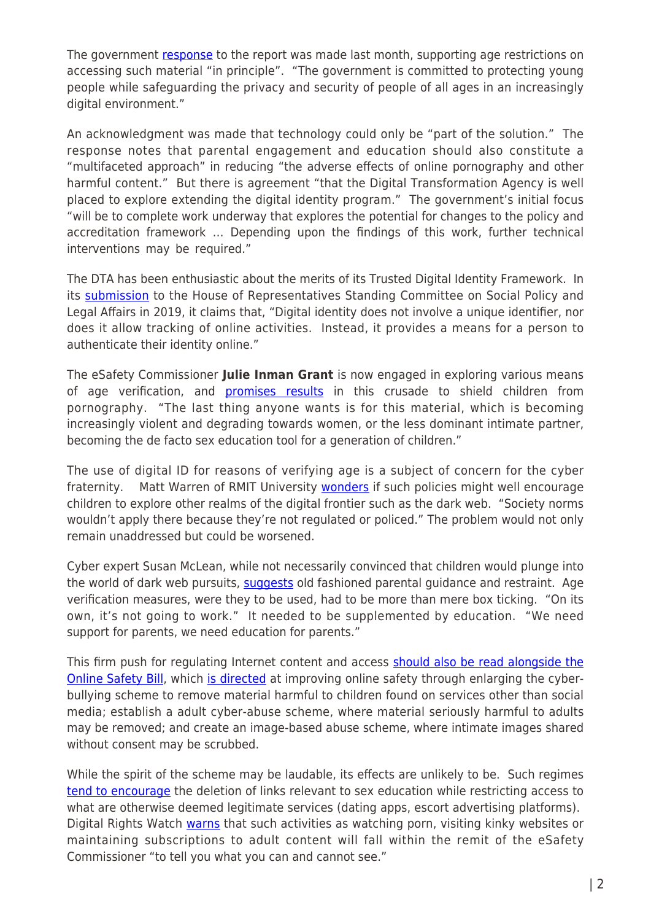The government [response](https://www.aph.gov.au/DocumentStore.ashx?id=7a1aa6f4-b43b-4687-8e42-6686ce350beb) to the report was made last month, supporting age restrictions on accessing such material "in principle". "The government is committed to protecting young people while safeguarding the privacy and security of people of all ages in an increasingly digital environment."

An acknowledgment was made that technology could only be "part of the solution." The response notes that parental engagement and education should also constitute a "multifaceted approach" in reducing "the adverse effects of online pornography and other harmful content." But there is agreement "that the Digital Transformation Agency is well placed to explore extending the digital identity program." The government's initial focus "will be to complete work underway that explores the potential for changes to the policy and accreditation framework … Depending upon the findings of this work, further technical interventions may be required."

The DTA has been enthusiastic about the merits of its Trusted Digital Identity Framework. In its [submission](https://www.aph.gov.au/DocumentStore.ashx?id=9198fb4c-556a-4802-9c77-5a33d8ebad57&subId=673260) to the House of Representatives Standing Committee on Social Policy and Legal Affairs in 2019, it claims that, "Digital identity does not involve a unique identifier, nor does it allow tracking of online activities. Instead, it provides a means for a person to authenticate their identity online."

The eSafety Commissioner **Julie Inman Grant** is now engaged in exploring various means of age verification, and **promises results** in this crusade to shield children from pornography. "The last thing anyone wants is for this material, which is becoming increasingly violent and degrading towards women, or the less dominant intimate partner, becoming the de facto sex education tool for a generation of children."

The use of digital ID for reasons of verifying age is a subject of concern for the cyber fraternity. Matt Warren of RMIT University [wonders](https://www.news.com.au/technology/online/internet/experts-warn-age-verification-for-porn-sites-could-be-unworkable-push-kids-to-the-dark-web/news-story/70cd0f58b4b5288b7ea38da1b9e79c59) if such policies might well encourage children to explore other realms of the digital frontier such as the dark web. "Society norms wouldn't apply there because they're not regulated or policed." The problem would not only remain unaddressed but could be worsened.

Cyber expert Susan McLean, while not necessarily convinced that children would plunge into the world of dark web pursuits, [suggests](https://www.news.com.au/technology/online/internet/experts-warn-age-verification-for-porn-sites-could-be-unworkable-push-kids-to-the-dark-web/news-story/70cd0f58b4b5288b7ea38da1b9e79c59) old fashioned parental guidance and restraint. Age verification measures, were they to be used, had to be more than mere box ticking. "On its own, it's not going to work." It needed to be supplemented by education. "We need support for parents, we need education for parents."

This firm push for regulating Internet content and access [should also be read alongside the](https://www.themandarin.com.au/152583-the-unsafe-online-safety-bill/) **[Online Safety Bill,](https://www.themandarin.com.au/152583-the-unsafe-online-safety-bill/) which [is directed](https://digitalrightswatch.org.au/2021/02/11/explainer-the-online-safety-bill/) at improving online safety through enlarging the cyber**bullying scheme to remove material harmful to children found on services other than social media; establish a adult cyber-abuse scheme, where material seriously harmful to adults may be removed; and create an image-based abuse scheme, where intimate images shared without consent may be scrubbed.

While the spirit of the scheme may be laudable, its effects are unlikely to be. Such regimes [tend to encourage](https://theconversation.com/a-new-online-safety-bill-could-allow-censorship-of-anyone-who-engages-with-sexual-content-on-the-internet-154739) the deletion of links relevant to sex education while restricting access to what are otherwise deemed legitimate services (dating apps, escort advertising platforms). Digital Rights Watch [warns](https://www.themandarin.com.au/152583-the-unsafe-online-safety-bill/) that such activities as watching porn, visiting kinky websites or maintaining subscriptions to adult content will fall within the remit of the eSafety Commissioner "to tell you what you can and cannot see."